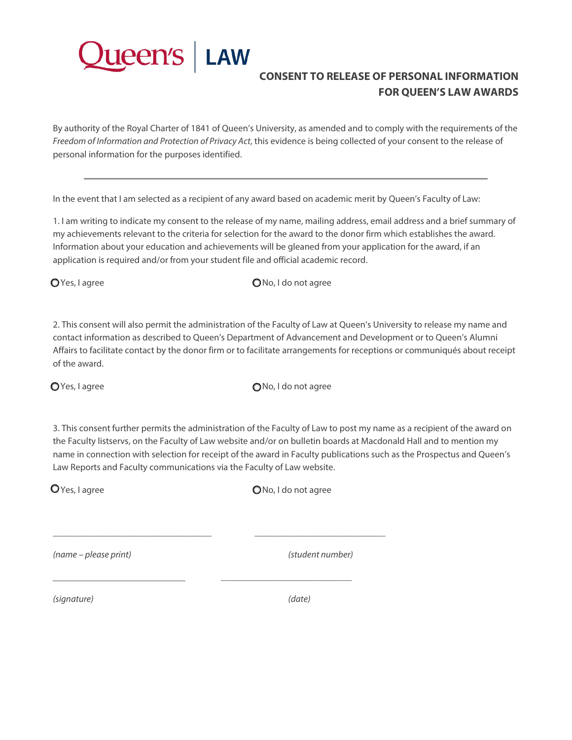

## **CONSENT TO RELEASE OF PERSONAL INFORMATION FOR QUEEN'S LAW AWARDS**

By authority of the Royal Charter of 1841 of Queen's University, as amended and to comply with the requirements of the *Freedom of Information and Protection of Privacy Act*, this evidence is being collected of your consent to the release of personal information for the purposes identified.

In the event that I am selected as a recipient of any award based on academic merit by Queen's Faculty of Law:

1. I am writing to indicate my consent to the release of my name, mailing address, email address and a brief summary of my achievements relevant to the criteria for selection for the award to the donor firm which establishes the award. Information about your education and achievements will be gleaned from your application for the award, if an application is required and/or from your student file and official academic record.

O Yes, I agree **No. 1** agree **No.** 1 do not agree

2. This consent will also permit the administration of the Faculty of Law at Queen's University to release my name and contact information as described to Queen's Department of Advancement and Development or to Queen's Alumni Affairs to facilitate contact by the donor firm or to facilitate arrangements for receptions or communiqués about receipt of the award.

 $\bigcirc$  Yes, I agree  $\bigcirc$  Yes, I agree

3. This consent further permits the administration of the Faculty of Law to post my name as a recipient of the award on the Faculty listservs, on the Faculty of Law website and/or on bulletin boards at Macdonald Hall and to mention my name in connection with selection for receipt of the award in Faculty publications such as the Prospectus and Queen's Law Reports and Faculty communications via the Faculty of Law website.

\_\_\_\_\_\_\_\_\_\_\_\_\_\_\_\_\_\_\_\_\_\_\_\_\_\_\_\_\_\_\_\_\_\_ \_\_\_\_\_\_\_\_\_\_\_\_\_\_\_\_\_\_\_\_\_\_\_\_\_\_\_\_

\_\_\_\_\_\_\_\_\_\_\_\_\_\_\_\_\_\_\_\_\_\_\_\_\_\_\_\_

 $Q$  Yes, I agree  $Q$  No, I do not agree

*(name – please print) (student number)*

*(signature) (date)*